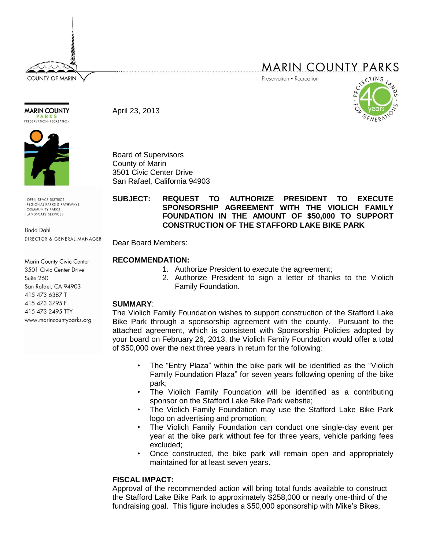**COUNTY OF MARIN** 

# **MARIN COUNTY PARKS**

Preservation • Recreation



April 23, 2013



**MARIN COUNTY** 

OPEN SPACE DISTRICT REGIONAL PARKS & PATHWAYS COMMUNITY PARKS LANDSCAPE SERVICES

Linda Dahl DIRECTOR & GENERAL MANAGER

Marin County Civic Center 3501 Civic Center Drive  $Suite 260$ San Rafael, CA 94903 415 473 6387 T 415 473 3795 F 415 473 2495 TTY www.marincountyparks.org Board of Supervisors County of Marin 3501 Civic Center Drive San Rafael, California 94903

#### **SUBJECT: REQUEST TO AUTHORIZE PRESIDENT TO EXECUTE SPONSORSHIP AGREEMENT WITH THE VIOLICH FAMILY FOUNDATION IN THE AMOUNT OF \$50,000 TO SUPPORT CONSTRUCTION OF THE STAFFORD LAKE BIKE PARK**

Dear Board Members:

## **RECOMMENDATION:**

- 1. Authorize President to execute the agreement;
- 2. Authorize President to sign a letter of thanks to the Violich Family Foundation.

## **SUMMARY**:

The Violich Family Foundation wishes to support construction of the Stafford Lake Bike Park through a sponsorship agreement with the county. Pursuant to the attached agreement, which is consistent with Sponsorship Policies adopted by your board on February 26, 2013, the Violich Family Foundation would offer a total of \$50,000 over the next three years in return for the following:

- The "Entry Plaza" within the bike park will be identified as the "Violich Family Foundation Plaza" for seven years following opening of the bike park;
- The Violich Family Foundation will be identified as a contributing sponsor on the Stafford Lake Bike Park website;
- The Violich Family Foundation may use the Stafford Lake Bike Park logo on advertising and promotion;
- The Violich Family Foundation can conduct one single-day event per year at the bike park without fee for three years, vehicle parking fees excluded;
- Once constructed, the bike park will remain open and appropriately maintained for at least seven years.

## **FISCAL IMPACT:**

Approval of the recommended action will bring total funds available to construct the Stafford Lake Bike Park to approximately \$258,000 or nearly one-third of the fundraising goal. This figure includes a \$50,000 sponsorship with Mike's Bikes,